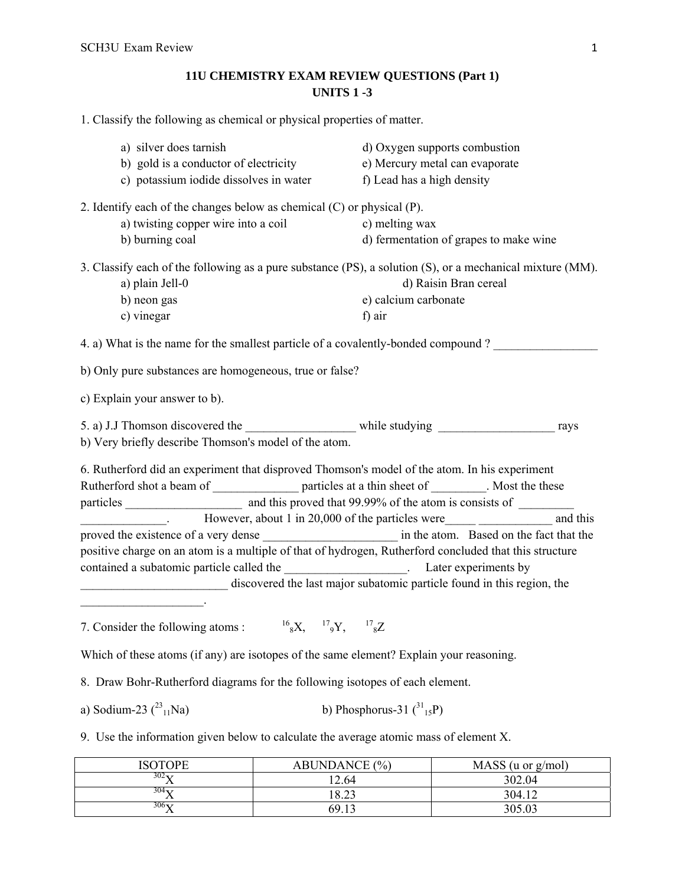# **11U CHEMISTRY EXAM REVIEW QUESTIONS (Part 1) UNITS 1 -3**

1. Classify the following as chemical or physical properties of matter.

| a) silver does tarnish<br>b) gold is a conductor of electricity<br>c) potassium iodide dissolves in water                                                                                         |                                                                                                          | d) Oxygen supports combustion<br>e) Mercury metal can evaporate<br>f) Lead has a high density                                      |  |
|---------------------------------------------------------------------------------------------------------------------------------------------------------------------------------------------------|----------------------------------------------------------------------------------------------------------|------------------------------------------------------------------------------------------------------------------------------------|--|
| 2. Identify each of the changes below as chemical $(C)$ or physical $(P)$ .<br>a) twisting copper wire into a coil<br>b) burning coal                                                             | c) melting wax                                                                                           | d) fermentation of grapes to make wine                                                                                             |  |
| a) plain Jell-0<br>b) neon gas<br>c) vinegar                                                                                                                                                      | e) calcium carbonate<br>f) air                                                                           | 3. Classify each of the following as a pure substance (PS), a solution (S), or a mechanical mixture (MM).<br>d) Raisin Bran cereal |  |
| 4. a) What is the name for the smallest particle of a covalently-bonded compound?                                                                                                                 |                                                                                                          |                                                                                                                                    |  |
| b) Only pure substances are homogeneous, true or false?                                                                                                                                           |                                                                                                          |                                                                                                                                    |  |
| c) Explain your answer to b).                                                                                                                                                                     |                                                                                                          |                                                                                                                                    |  |
| b) Very briefly describe Thomson's model of the atom.                                                                                                                                             | 5. a) J.J Thomson discovered the _______________________ while studying ____________________________     | rays                                                                                                                               |  |
| 6. Rutherford did an experiment that disproved Thomson's model of the atom. In his experiment<br>However, about 1 in 20,000 of the particles were<br>and this                                     | Rutherford shot a beam of _______________________ particles at a thin sheet of _________. Most the these |                                                                                                                                    |  |
| positive charge on an atom is a multiple of that of hydrogen, Rutherford concluded that this structure<br>contained a subatomic particle called the _______________________. Later experiments by | discovered the last major subatomic particle found in this region, the                                   |                                                                                                                                    |  |
| 7. Consider the following atoms : ${}^{16}{}_{8}X, {}^{17}{}_{9}Y, {}^{17}{}_{8}Z$                                                                                                                |                                                                                                          |                                                                                                                                    |  |
| Which of these atoms (if any) are isotopes of the same element? Explain your reasoning.                                                                                                           |                                                                                                          |                                                                                                                                    |  |
| 8. Draw Bohr-Rutherford diagrams for the following isotopes of each element.                                                                                                                      |                                                                                                          |                                                                                                                                    |  |
| a) Sodium-23 $(^{23}{}_{11}Na)$<br>b) Phosphorus-31 $\binom{31}{15}$ P)                                                                                                                           |                                                                                                          |                                                                                                                                    |  |
| 9. Use the information given below to calculate the average atomic mass of element X.                                                                                                             |                                                                                                          |                                                                                                                                    |  |
| <b>ISOTOPE</b>                                                                                                                                                                                    | <b>ABUNDANCE</b> (%)                                                                                     | MASS (u or g/mol)                                                                                                                  |  |
| $\overline{302}$ X                                                                                                                                                                                | 12.64                                                                                                    | 302.04                                                                                                                             |  |
| $304$ $X$                                                                                                                                                                                         | 18.23                                                                                                    | 304.12                                                                                                                             |  |

 $306$ X  $69.13$   $305.03$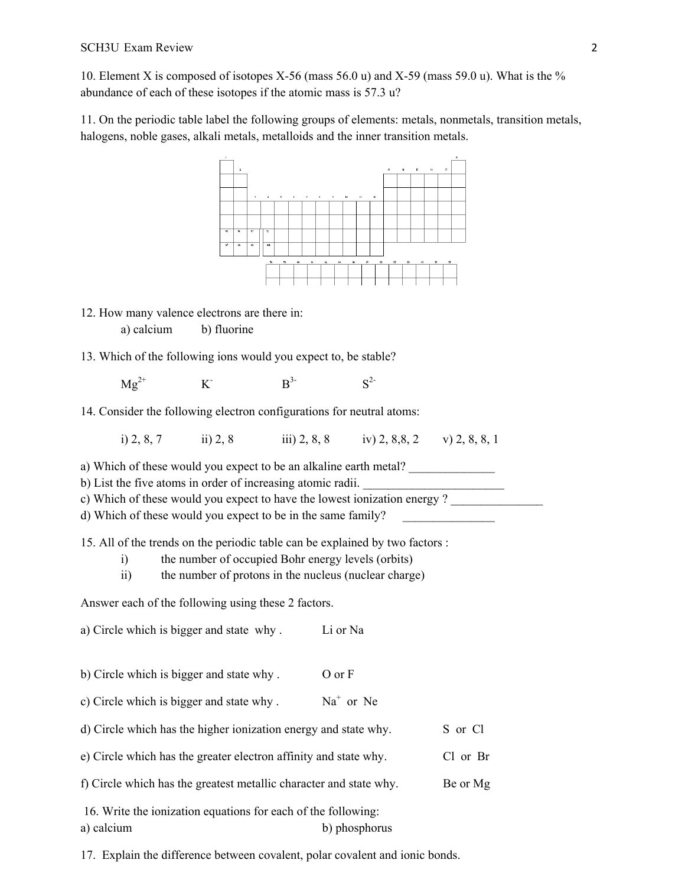10. Element X is composed of isotopes X-56 (mass 56.0 u) and X-59 (mass 59.0 u). What is the % abundance of each of these isotopes if the atomic mass is 57.3 u?

11. On the periodic table label the following groups of elements: metals, nonmetals, transition metals, halogens, noble gases, alkali metals, metalloids and the inner transition metals.



- 12. How many valence electrons are there in: a) calcium b) fluorine
- 13. Which of the following ions would you expect to, be stable?

 $Mg^{2+}$  K<sup>-</sup>  $B^{3-}$   $S^{2-}$ 

14. Consider the following electron configurations for neutral atoms:

i) 2, 8, 7 iii) 2, 8 iii) 2, 8, 8 iv) 2, 8, 8, 2 v) 2, 8, 8, 1

a) Which of these would you expect to be an alkaline earth metal?

b) List the five atoms in order of increasing atomic radii.

c) Which of these would you expect to have the lowest ionization energy ?

d) Which of these would you expect to be in the same family?

15. All of the trends on the periodic table can be explained by two factors :

- i) the number of occupied Bohr energy levels (orbits)
- ii) the number of protons in the nucleus (nuclear charge)

Answer each of the following using these 2 factors.

- a) Circle which is bigger and state why . Li or Na
- b) Circle which is bigger and state why . O or F
- c) Circle which is bigger and state why.  $Na<sup>+</sup>$  or Ne
- d) Circle which has the higher ionization energy and state why. S or Cl
- e) Circle which has the greater electron affinity and state why. Cl or Br
- f) Circle which has the greatest metallic character and state why. Be or Mg
- 16. Write the ionization equations for each of the following: a) calcium b) phosphorus

17. Explain the difference between covalent, polar covalent and ionic bonds.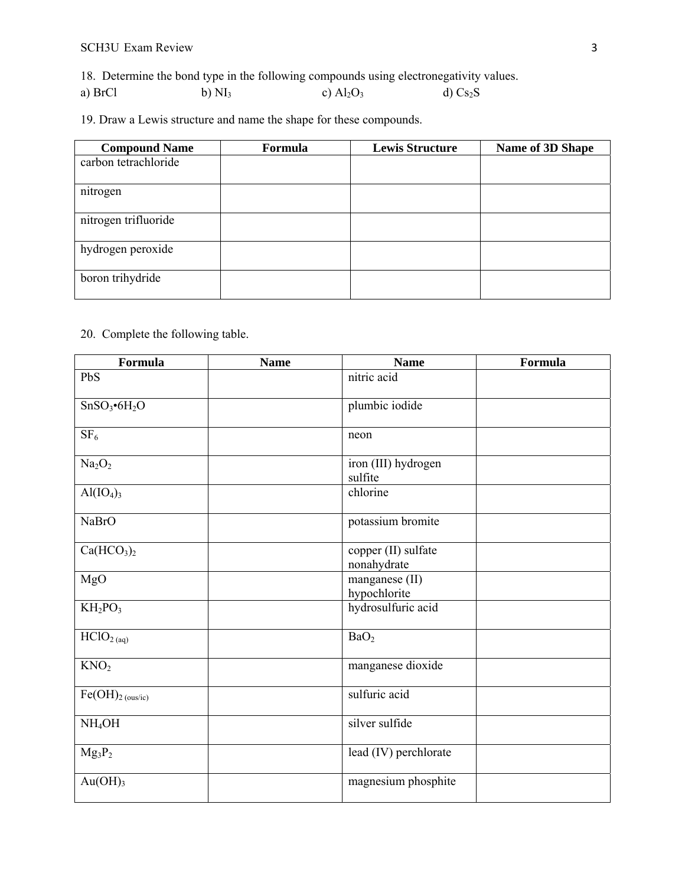18. Determine the bond type in the following compounds using electronegativity values.

a) BrCl b)  $NI_3$  c)  $Al_2O_3$  d)  $Cs_2S$ 

19. Draw a Lewis structure and name the shape for these compounds.

| <b>Compound Name</b> | <b>Formula</b> | <b>Lewis Structure</b> | Name of 3D Shape |
|----------------------|----------------|------------------------|------------------|
| carbon tetrachloride |                |                        |                  |
| nitrogen             |                |                        |                  |
| nitrogen trifluoride |                |                        |                  |
| hydrogen peroxide    |                |                        |                  |
| boron trihydride     |                |                        |                  |

20. Complete the following table.

| Formula                              | <b>Name</b> | <b>Name</b>                        | Formula |
|--------------------------------------|-------------|------------------------------------|---------|
| PbS                                  |             | nitric acid                        |         |
| SnSO <sub>3</sub> •6H <sub>2</sub> O |             | plumbic iodide                     |         |
| SF <sub>6</sub>                      |             | neon                               |         |
| Na <sub>2</sub> O <sub>2</sub>       |             | iron (III) hydrogen<br>sulfite     |         |
| $\text{Al}(\text{IO}_4)_3$           |             | chlorine                           |         |
| <b>NaBrO</b>                         |             | potassium bromite                  |         |
| Ca(HCO <sub>3</sub> ) <sub>2</sub>   |             | copper (II) sulfate<br>nonahydrate |         |
| MgO                                  |             | manganese (II)<br>hypochlorite     |         |
| $KH_2PO_3$                           |             | hydrosulfuric acid                 |         |
| HClO <sub>2</sub> (aq)               |             | BaO <sub>2</sub>                   |         |
| KNO <sub>2</sub>                     |             | manganese dioxide                  |         |
| $Fe(OH)_{2 \text{ (ous/ic)}}$        |             | sulfuric acid                      |         |
| NH <sub>4</sub> OH                   |             | silver sulfide                     |         |
| $Mg_3P_2$                            |             | lead (IV) perchlorate              |         |
| Au(OH) <sub>3</sub>                  |             | magnesium phosphite                |         |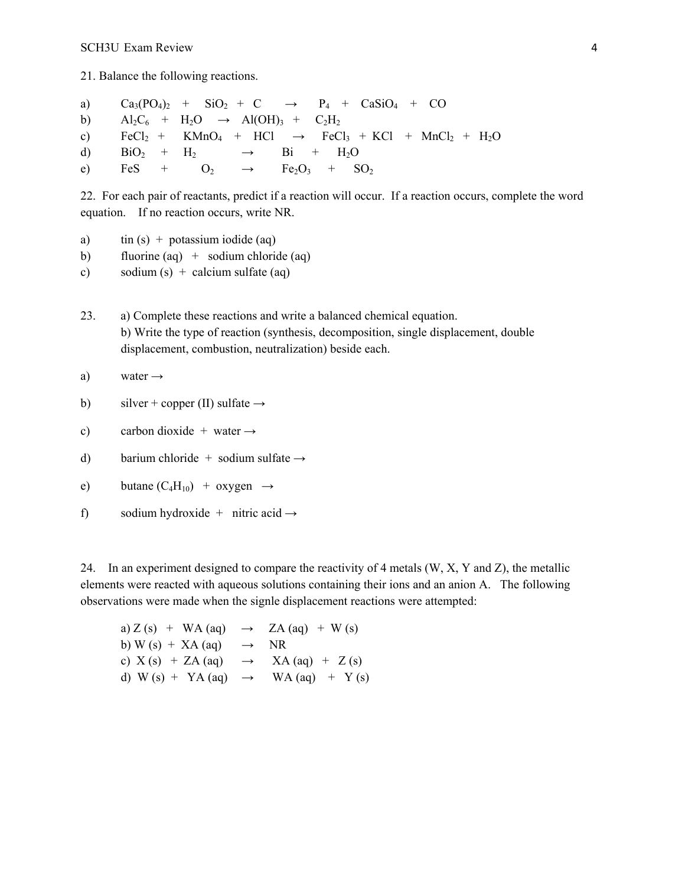21. Balance the following reactions.

a)  $Ca_3(PO_4)_2$  +  $SiO_2$  + C  $\rightarrow$  P<sub>4</sub> + CaSiO<sub>4</sub> + CO b)  $\text{Al}_2\text{C}_6 + \text{H}_2\text{O} \rightarrow \text{Al}(\text{OH})_3 + \text{C}_2\text{H}_2$ c)  $FeCl_2 + KMnO_4 + HCl \rightarrow FeCl_3 + KCl + MnCl_2 + H_2O$ d)  $BiO_2 + H_2 \rightarrow Bi + H_2O$ e) FeS +  $O_2$   $\rightarrow$  Fe<sub>2</sub>O<sub>3</sub> + SO<sub>2</sub>

22. For each pair of reactants, predict if a reaction will occur. If a reaction occurs, complete the word equation. If no reaction occurs, write NR.

- a)  $\text{tin (s)} + \text{potassium iodide (aq)}$
- b) fluorine  $(aq)$  + sodium chloride  $(aq)$

c) sodium  $(s)$  + calcium sulfate (aq)

23. a) Complete these reactions and write a balanced chemical equation. b) Write the type of reaction (synthesis, decomposition, single displacement, double displacement, combustion, neutralization) beside each.

a) water 
$$
\rightarrow
$$

- b) silver + copper (II) sulfate  $\rightarrow$
- c) carbon dioxide + water  $\rightarrow$
- d) barium chloride + sodium sulfate  $\rightarrow$
- e) butane  $(C_4H_{10}) + 0xygen \rightarrow$
- f) sodium hydroxide + nitric acid  $\rightarrow$

24. In an experiment designed to compare the reactivity of 4 metals (W, X, Y and Z), the metallic elements were reacted with aqueous solutions containing their ions and an anion A. The following observations were made when the signle displacement reactions were attempted:

| a) $Z(s)$ + WA (aq) $\rightarrow$ ZA (aq) + W (s) |                  |  |
|---------------------------------------------------|------------------|--|
| b) W (s) $+ XA$ (aq)                              | $\rightarrow$ NR |  |
| c) $X(s) + ZA(aq) \rightarrow XA(aq) + Z(s)$      |                  |  |
| d) W (s) + YA (aq) $\rightarrow$ WA (aq) + Y (s)  |                  |  |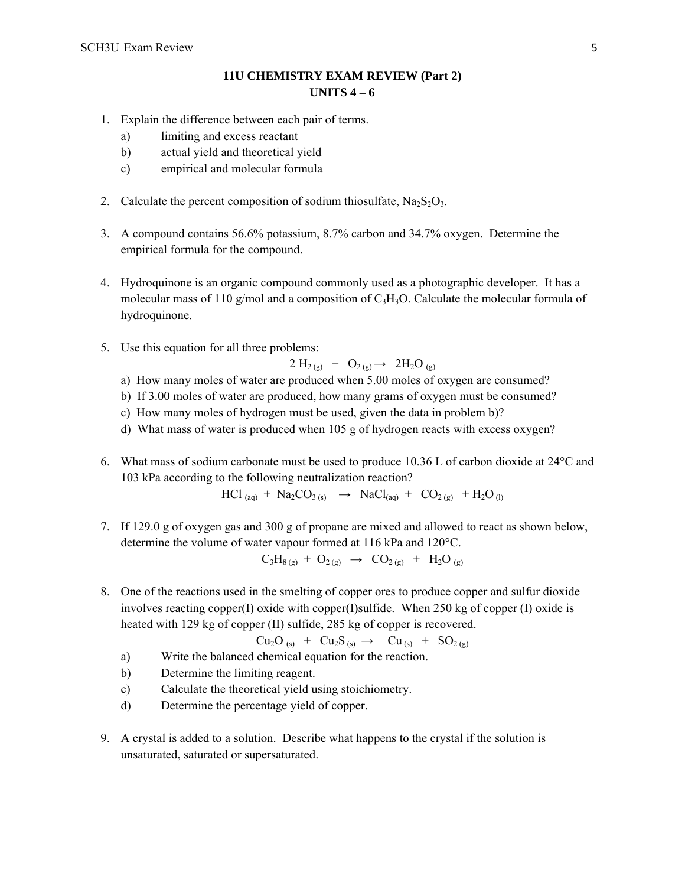## **11U CHEMISTRY EXAM REVIEW (Part 2) UNITS 4 – 6**

- 1. Explain the difference between each pair of terms.
	- a) limiting and excess reactant
	- b) actual yield and theoretical yield
	- c) empirical and molecular formula
- 2. Calculate the percent composition of sodium thiosulfate,  $Na<sub>2</sub>S<sub>2</sub>O<sub>3</sub>$ .
- 3. A compound contains 56.6% potassium, 8.7% carbon and 34.7% oxygen. Determine the empirical formula for the compound.
- 4. Hydroquinone is an organic compound commonly used as a photographic developer. It has a molecular mass of 110 g/mol and a composition of C3H3O. Calculate the molecular formula of hydroquinone.
- 5. Use this equation for all three problems:

$$
2 H_{2(g)} + O_{2(g)} \rightarrow 2 H_2 O_{(g)}
$$

- a) How many moles of water are produced when 5.00 moles of oxygen are consumed?
- b) If 3.00 moles of water are produced, how many grams of oxygen must be consumed?
- c) How many moles of hydrogen must be used, given the data in problem b)?
- d) What mass of water is produced when 105 g of hydrogen reacts with excess oxygen?
- 6. What mass of sodium carbonate must be used to produce 10.36 L of carbon dioxide at 24°C and 103 kPa according to the following neutralization reaction?

 $HCl_{(aq)} + Na_2CO_{3(s)} \rightarrow NaCl_{(aq)} + CO_{2(g)} + H_2O_{(l)}$ 

7. If 129.0 g of oxygen gas and 300 g of propane are mixed and allowed to react as shown below, determine the volume of water vapour formed at 116 kPa and 120°C.

$$
C_3H_{8(g)} + O_{2(g)} \rightarrow CO_{2(g)} + H_2O_{(g)}
$$

8. One of the reactions used in the smelting of copper ores to produce copper and sulfur dioxide involves reacting copper(I) oxide with copper(I)sulfide. When 250 kg of copper (I) oxide is heated with 129 kg of copper (II) sulfide, 285 kg of copper is recovered.

$$
Cu_2O_{(s)} + Cu_2S_{(s)} \rightarrow Cu_{(s)} + SO_{2(g)}
$$

- a) Write the balanced chemical equation for the reaction.
- b) Determine the limiting reagent.
- c) Calculate the theoretical yield using stoichiometry.
- d) Determine the percentage yield of copper.
- 9. A crystal is added to a solution. Describe what happens to the crystal if the solution is unsaturated, saturated or supersaturated.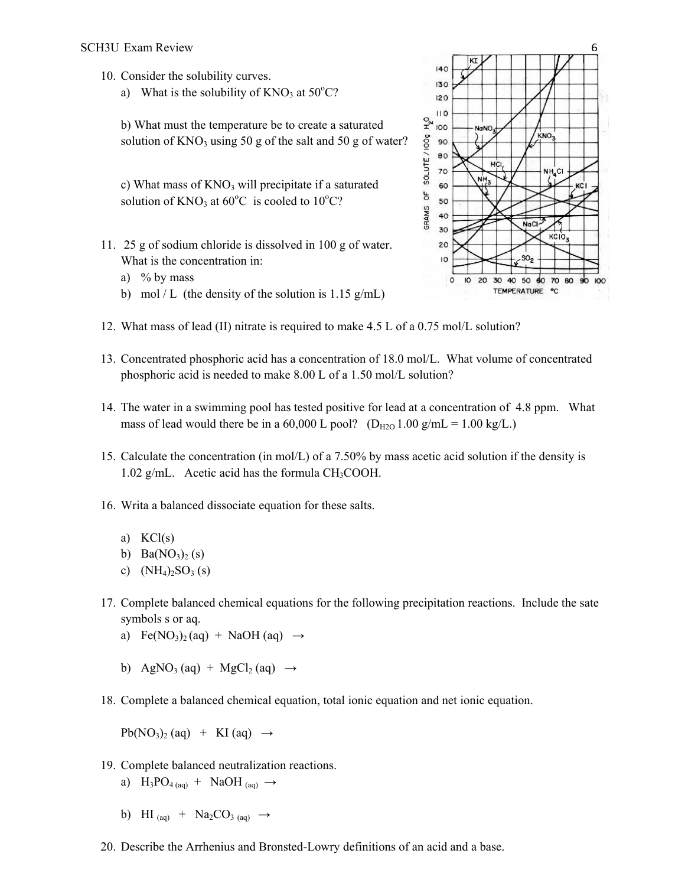- 10. Consider the solubility curves.
	- a) What is the solubility of  $KNO<sub>3</sub>$  at  $50^{\circ}C$ ?

b) What must the temperature be to create a saturated solution of  $KNO_3$  using 50 g of the salt and 50 g of water?

c) What mass of  $KNO<sub>3</sub>$  will precipitate if a saturated solution of  $KNO_3$  at 60°C is cooled to 10°C?

- 11. 25 g of sodium chloride is dissolved in 100 g of water. What is the concentration in:
	- a) % by mass
	- b) mol / L (the density of the solution is  $1.15$  g/mL)
- 12. What mass of lead (II) nitrate is required to make 4.5 L of a 0.75 mol/L solution?
- 13. Concentrated phosphoric acid has a concentration of 18.0 mol/L. What volume of concentrated phosphoric acid is needed to make 8.00 L of a 1.50 mol/L solution?
- 14. The water in a swimming pool has tested positive for lead at a concentration of 4.8 ppm. What mass of lead would there be in a 60,000 L pool? ( $D_{H2O}$  1.00 g/mL = 1.00 kg/L.)
- 15. Calculate the concentration (in mol/L) of a 7.50% by mass acetic acid solution if the density is 1.02 g/mL. Acetic acid has the formula  $CH<sub>3</sub>COOH$ .
- 16. Writa a balanced dissociate equation for these salts.
	- a) KCl(s)
	- b)  $Ba(NO<sub>3</sub>)<sub>2</sub> (s)$
	- c)  $(NH_4)_2SO_3(s)$
- 17. Complete balanced chemical equations for the following precipitation reactions. Include the sate symbols s or aq.
	- a) Fe(NO<sub>3</sub>)<sub>2</sub>(aq) + NaOH (aq)  $\rightarrow$
	- b) AgNO<sub>3</sub> (aq) + MgCl<sub>2</sub> (aq)  $\rightarrow$
- 18. Complete a balanced chemical equation, total ionic equation and net ionic equation.

 $Pb(NO<sub>3</sub>)<sub>2</sub> (aq) + KI (aq) \rightarrow$ 

- 19. Complete balanced neutralization reactions.
	- a)  $H_3PO_{4(aq)} + NaOH_{(aq)} \rightarrow$
	- b) HI  $_{(aq)}$  + Na<sub>2</sub>CO<sub>3 (aq)</sub>  $\rightarrow$
- 20. Describe the Arrhenius and Bronsted-Lowry definitions of an acid and a base.

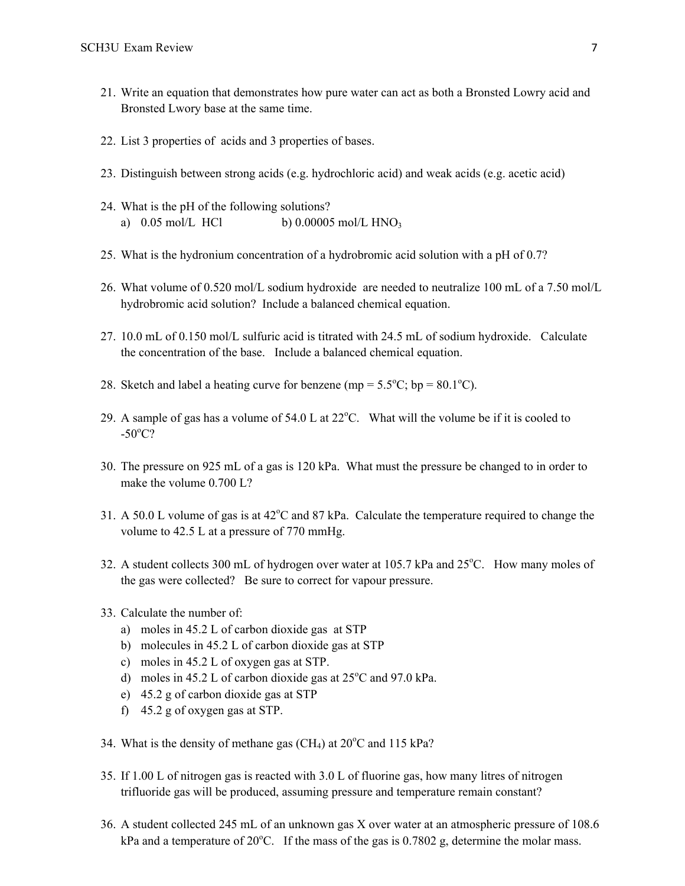- 21. Write an equation that demonstrates how pure water can act as both a Bronsted Lowry acid and Bronsted Lwory base at the same time.
- 22. List 3 properties of acids and 3 properties of bases.
- 23. Distinguish between strong acids (e.g. hydrochloric acid) and weak acids (e.g. acetic acid)
- 24. What is the pH of the following solutions? a)  $0.05 \text{ mol/L } HCl$  b)  $0.00005 \text{ mol/L } HNO_3$
- 25. What is the hydronium concentration of a hydrobromic acid solution with a pH of 0.7?
- 26. What volume of 0.520 mol/L sodium hydroxide are needed to neutralize 100 mL of a 7.50 mol/L hydrobromic acid solution? Include a balanced chemical equation.
- 27. 10.0 mL of 0.150 mol/L sulfuric acid is titrated with 24.5 mL of sodium hydroxide. Calculate the concentration of the base. Include a balanced chemical equation.
- 28. Sketch and label a heating curve for benzene (mp =  $5.5^{\circ}$ C; bp =  $80.1^{\circ}$ C).
- 29. A sample of gas has a volume of  $54.0$  L at  $22^{\circ}$ C. What will the volume be if it is cooled to  $-50^{\circ}$ C?
- 30. The pressure on 925 mL of a gas is 120 kPa. What must the pressure be changed to in order to make the volume 0.700 L?
- 31. A 50.0 L volume of gas is at  $42^{\circ}$ C and 87 kPa. Calculate the temperature required to change the volume to 42.5 L at a pressure of 770 mmHg.
- 32. A student collects 300 mL of hydrogen over water at 105.7 kPa and 25°C. How many moles of the gas were collected? Be sure to correct for vapour pressure.
- 33. Calculate the number of:
	- a) moles in 45.2 L of carbon dioxide gas at STP
	- b) molecules in 45.2 L of carbon dioxide gas at STP
	- c) moles in 45.2 L of oxygen gas at STP.
	- d) moles in 45.2 L of carbon dioxide gas at  $25^{\circ}$ C and 97.0 kPa.
	- e) 45.2 g of carbon dioxide gas at STP
	- f) 45.2 g of oxygen gas at STP.
- 34. What is the density of methane gas  $(CH_4)$  at  $20^{\circ}$ C and 115 kPa?
- 35. If 1.00 L of nitrogen gas is reacted with 3.0 L of fluorine gas, how many litres of nitrogen trifluoride gas will be produced, assuming pressure and temperature remain constant?
- 36. A student collected 245 mL of an unknown gas X over water at an atmospheric pressure of 108.6 kPa and a temperature of  $20^{\circ}$ C. If the mass of the gas is 0.7802 g, determine the molar mass.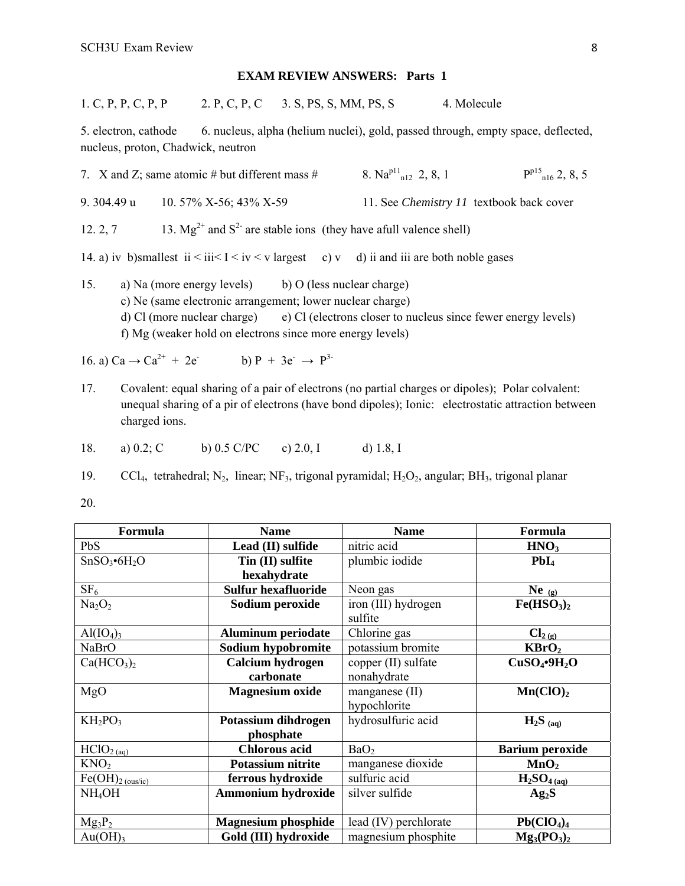## **EXAM REVIEW ANSWERS: Parts 1**

| 1. C, P, P, C, P, P | 2. P, C, P, C 3. S, PS, S, MM, PS, S | 4. Molecule |
|---------------------|--------------------------------------|-------------|
|---------------------|--------------------------------------|-------------|

5. electron, cathode 6. nucleus, alpha (helium nuclei), gold, passed through, empty space, deflected, nucleus, proton, Chadwick, neutron

|             | 7. X and Z; same atomic # but different mass #                                                        | 8. Na <sup>p11</sup> <sub>n12</sub> 2, 8, 1     | $P^{p15}$ <sub>n16</sub> 2, 8, 5 |
|-------------|-------------------------------------------------------------------------------------------------------|-------------------------------------------------|----------------------------------|
| 9. 304.49 u | 10. $57\%$ X-56; 43% X-59                                                                             | 11. See <i>Chemistry 11</i> textbook back cover |                                  |
| 12.2, 7     | 13. $Mg^{2+}$ and $S^2$ are stable ions (they have afull valence shell)                               |                                                 |                                  |
|             | 14. a) iv b)smallest ii $\leq$ iii $\leq$ iv $\leq$ v largest c) v d) ii and iii are both noble gases |                                                 |                                  |

15. a) Na (more energy levels) b) O (less nuclear charge) c) Ne (same electronic arrangement; lower nuclear charge) d) Cl (more nuclear charge) e) Cl (electrons closer to nucleus since fewer energy levels) f) Mg (weaker hold on electrons since more energy levels)

16. a) 
$$
Ca \rightarrow Ca^{2+} + 2e^-
$$
   
b)  $P + 3e^- \rightarrow P^{3-}$ 

- 17. Covalent: equal sharing of a pair of electrons (no partial charges or dipoles); Polar colvalent: unequal sharing of a pir of electrons (have bond dipoles); Ionic: electrostatic attraction between charged ions.
- 18. a) 0.2; C b) 0.5 C/PC c) 2.0, I d) 1.8, I

19. CCl<sub>4</sub>, tetrahedral; N<sub>2</sub>, linear; NF<sub>3</sub>, trigonal pyramidal; H<sub>2</sub>O<sub>2</sub>, angular; BH<sub>3</sub>, trigonal planar

20.

| Formula                              | <b>Name</b>                | <b>Name</b>           | Formula                              |
|--------------------------------------|----------------------------|-----------------------|--------------------------------------|
| PbS                                  | Lead (II) sulfide          | nitric acid           | HNO <sub>3</sub>                     |
| $SnSO_3\bullet 6H_2O$                | Tin (II) sulfite           | plumbic iodide        | PbI <sub>4</sub>                     |
|                                      | hexahydrate                |                       |                                      |
| SF <sub>6</sub>                      | <b>Sulfur hexafluoride</b> | Neon gas              | $Ne_{(g)}$                           |
| Na <sub>2</sub> O <sub>2</sub>       | Sodium peroxide            | iron (III) hydrogen   | Fe(HSO <sub>3</sub> ) <sub>2</sub>   |
|                                      |                            | sulfite               |                                      |
| $\text{Al}(\text{IO}_4)_3$           | <b>Aluminum periodate</b>  | Chlorine gas          | $Cl_{2(g)}$                          |
| <b>NaBrO</b>                         | Sodium hypobromite         | potassium bromite     | KBrO <sub>2</sub>                    |
| Ca(HCO <sub>3</sub> ) <sub>2</sub>   | Calcium hydrogen           | copper (II) sulfate   | CuSO <sub>4</sub> ·9H <sub>2</sub> O |
|                                      | carbonate                  | nonahydrate           |                                      |
| MgO                                  | <b>Magnesium oxide</b>     | manganese (II)        | Mn(CIO) <sub>2</sub>                 |
|                                      |                            | hypochlorite          |                                      |
| $KH_2PO_3$                           | Potassium dihdrogen        | hydrosulfuric acid    | $H_2S_{(aq)}$                        |
|                                      | phosphate                  |                       |                                      |
| $\overline{HC}$ lO <sub>2 (aq)</sub> | <b>Chlorous acid</b>       | BaO <sub>2</sub>      | <b>Barium peroxide</b>               |
| KNO <sub>2</sub>                     | Potassium nitrite          | manganese dioxide     | MnO <sub>2</sub>                     |
| $Fe(OH)_{2 (ous/ic)}$                | ferrous hydroxide          | sulfuric acid         | $H_2SO_{4(aq)}$                      |
| NH <sub>4</sub> OH                   | <b>Ammonium hydroxide</b>  | silver sulfide        | Ag <sub>2</sub> S                    |
|                                      |                            |                       |                                      |
| $Mg_3P_2$                            | <b>Magnesium phosphide</b> | lead (IV) perchlorate | Pb(CIO <sub>4</sub> ) <sub>4</sub>   |
| $Au(OH)$ <sub>3</sub>                | Gold (III) hydroxide       | magnesium phosphite   | $Mg_3(PO_3)_2$                       |